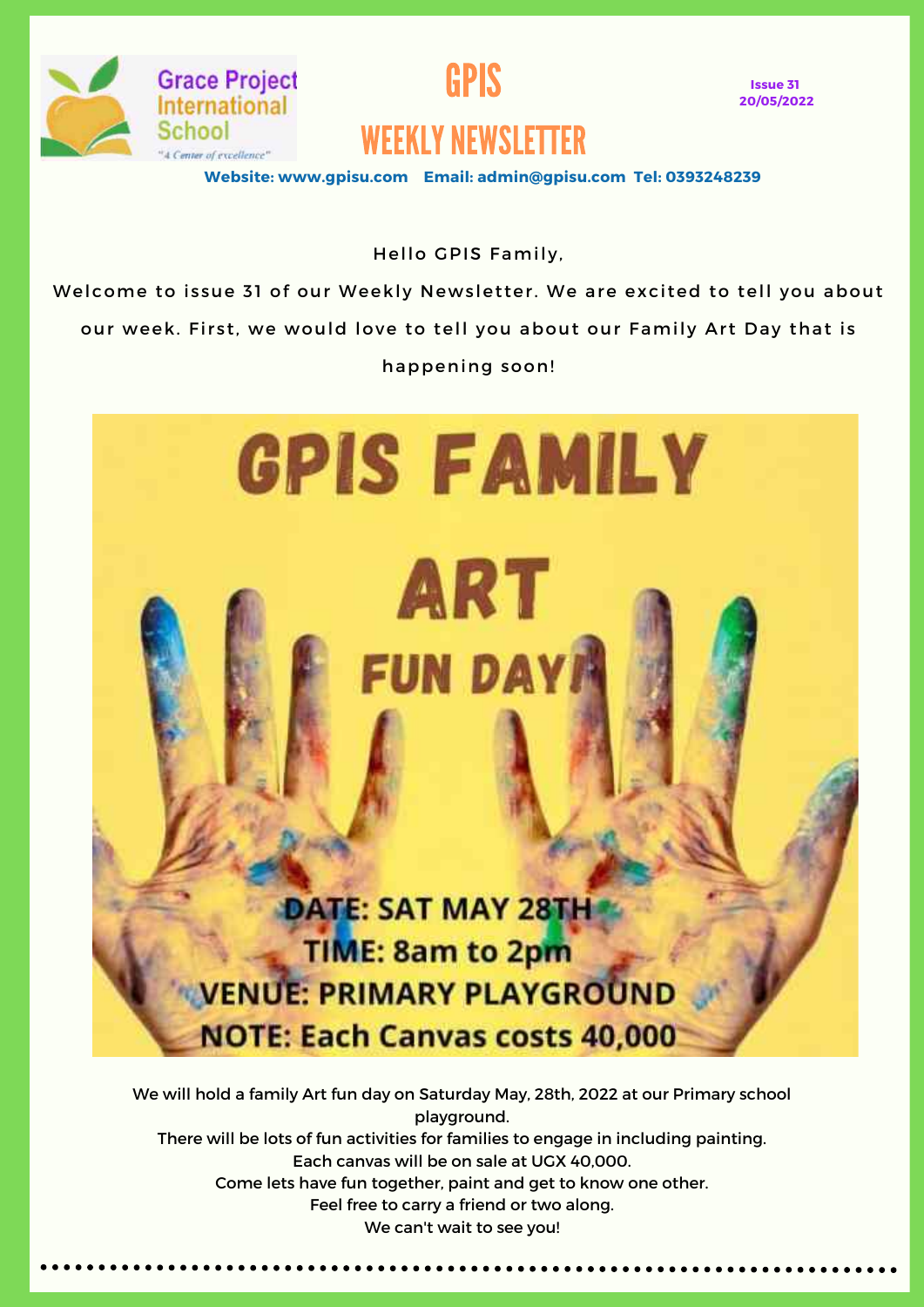

**Grace Project** International

Center of excellence"

School



### WEEKLY NEWSLETTER

**Website: www.gpisu.com Email: admin@gpisu.com Tel: 0393248239**

Hello GPIS Family,

Welcome to issue 31 of our Weekly Newsletter. We are excited to tell you about our week. First, we would love to tell you about our Family Art Day that is happening soon!



We will hold a family Art fun day on Saturday May, 28th, 2022 at our Primary school playground. There will be lots of fun activities for families to engage in including painting. Each canvas will be on sale at UGX 40,000. Come lets have fun together, paint and get to know one other. Feel free to carry a friend or two along. We can't wait to see you!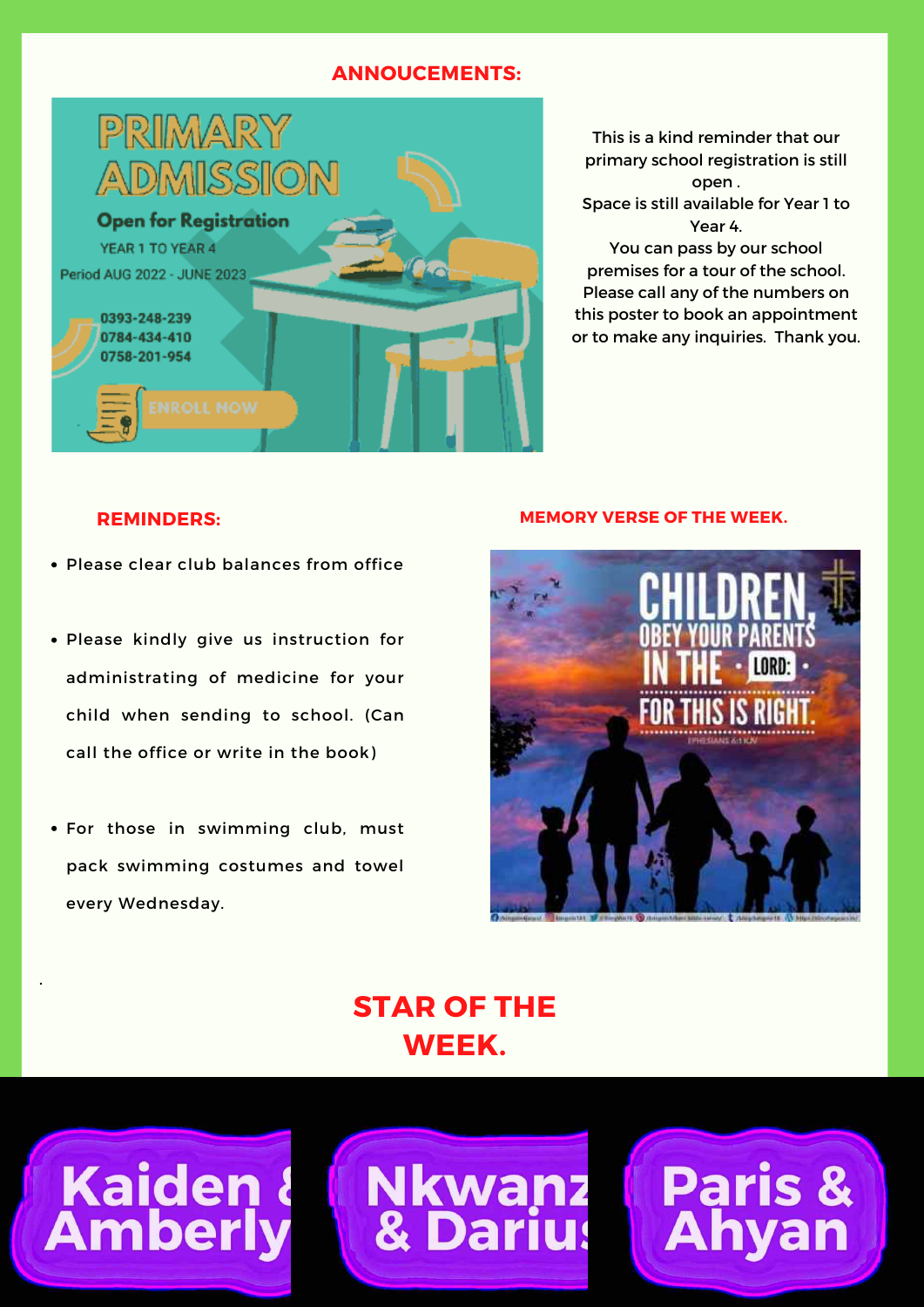#### **ANNOUCEMENTS:**



This is a kind reminder that our primary school registration is still open . Space is still available for Year 1 to Year 4. You can pass by our school premises for a tour of the school. Please call any of the numbers on this poster to book an appointment

or to make any inquiries. Thank you.

- Please clear club balances from office
- Please kindly give us instruction for administrating of medicine for your child when sending to school. (Can call the office or write in the book)
- For those in swimming club, must pack swimming costumes and towel every Wednesday.

**Kaiden &<br>Amberly** 

.

#### **REMINDERS: MEMORY VERSE OF THE WEEK.**



**Paris<br>Ahva** 

#### **STAR OF THE WEEK.**

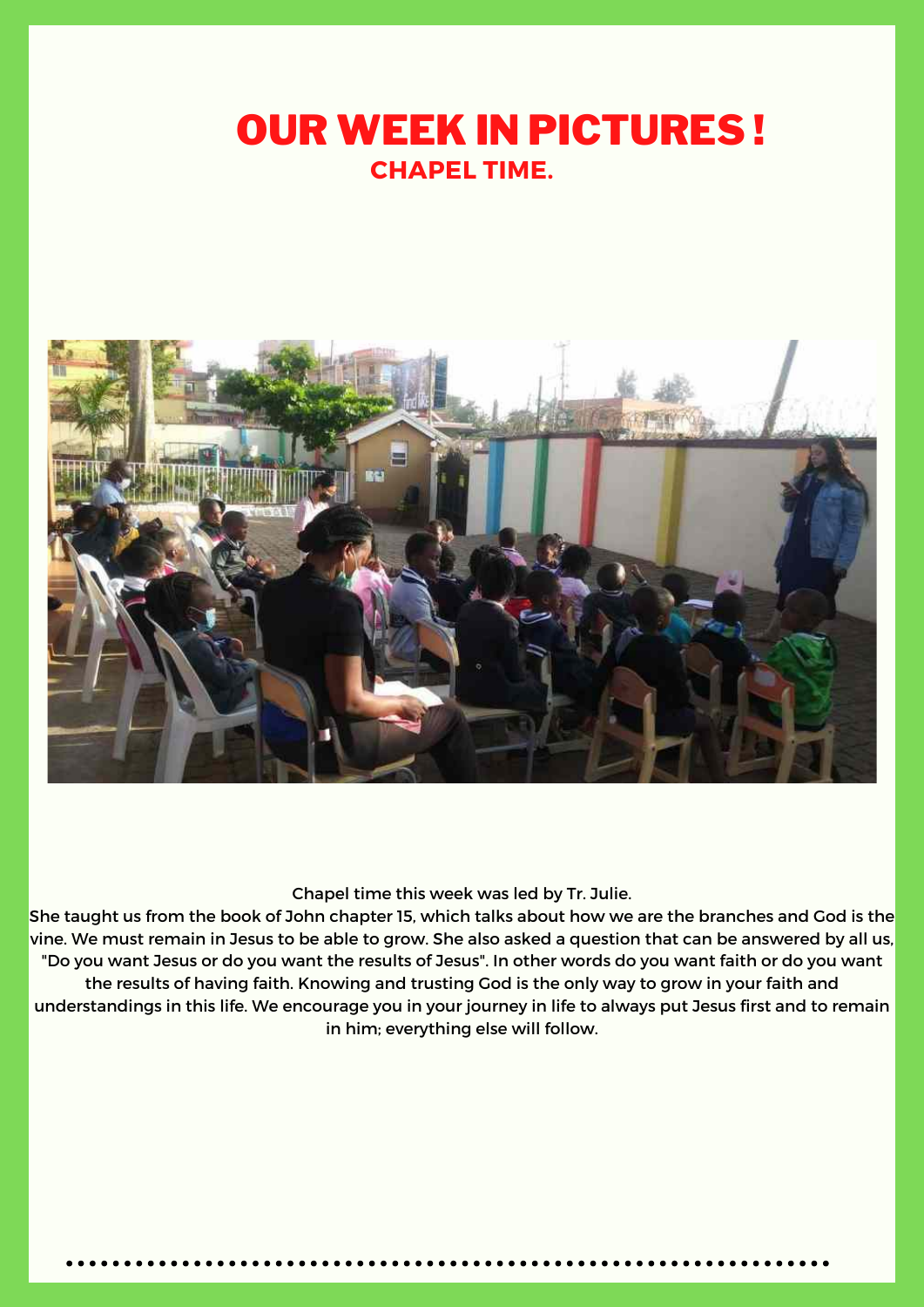## OUR WEEK IN PICTURES ! **CHAPEL TIME.**



Chapel time this week was led by Tr. Julie.

She taught us from the book of John chapter 15, which talks about how we are the branches and God is the vine. We must remain in Jesus to be able to grow. She also asked a question that can be answered by all us, "Do you want Jesus or do you want the results of Jesus". In other words do you want faith or do you want the results of having faith. Knowing and trusting God is the only way to grow in your faith and understandings in this life. We encourage you in your journey in life to always put Jesus first and to remain in him; everything else will follow.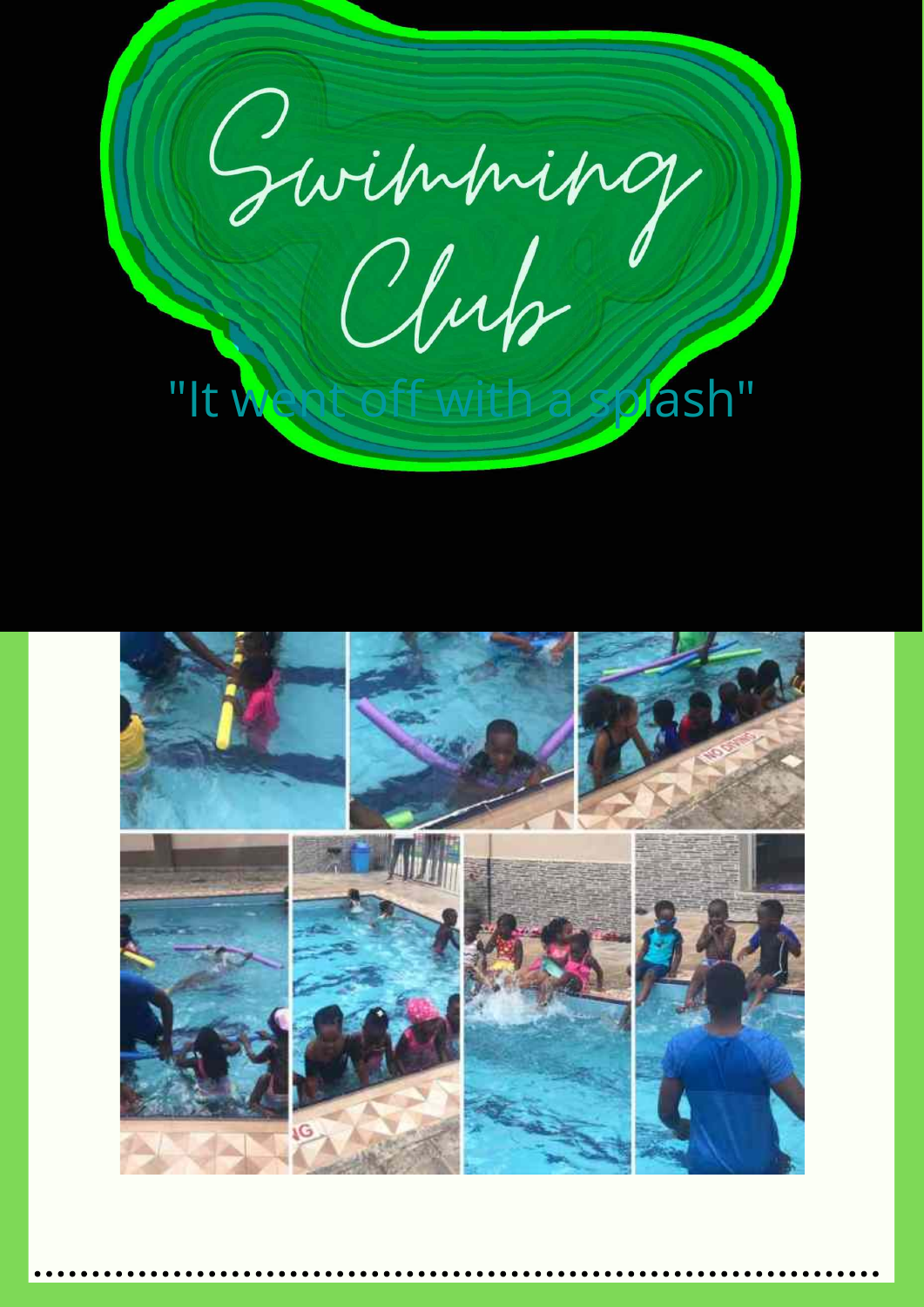

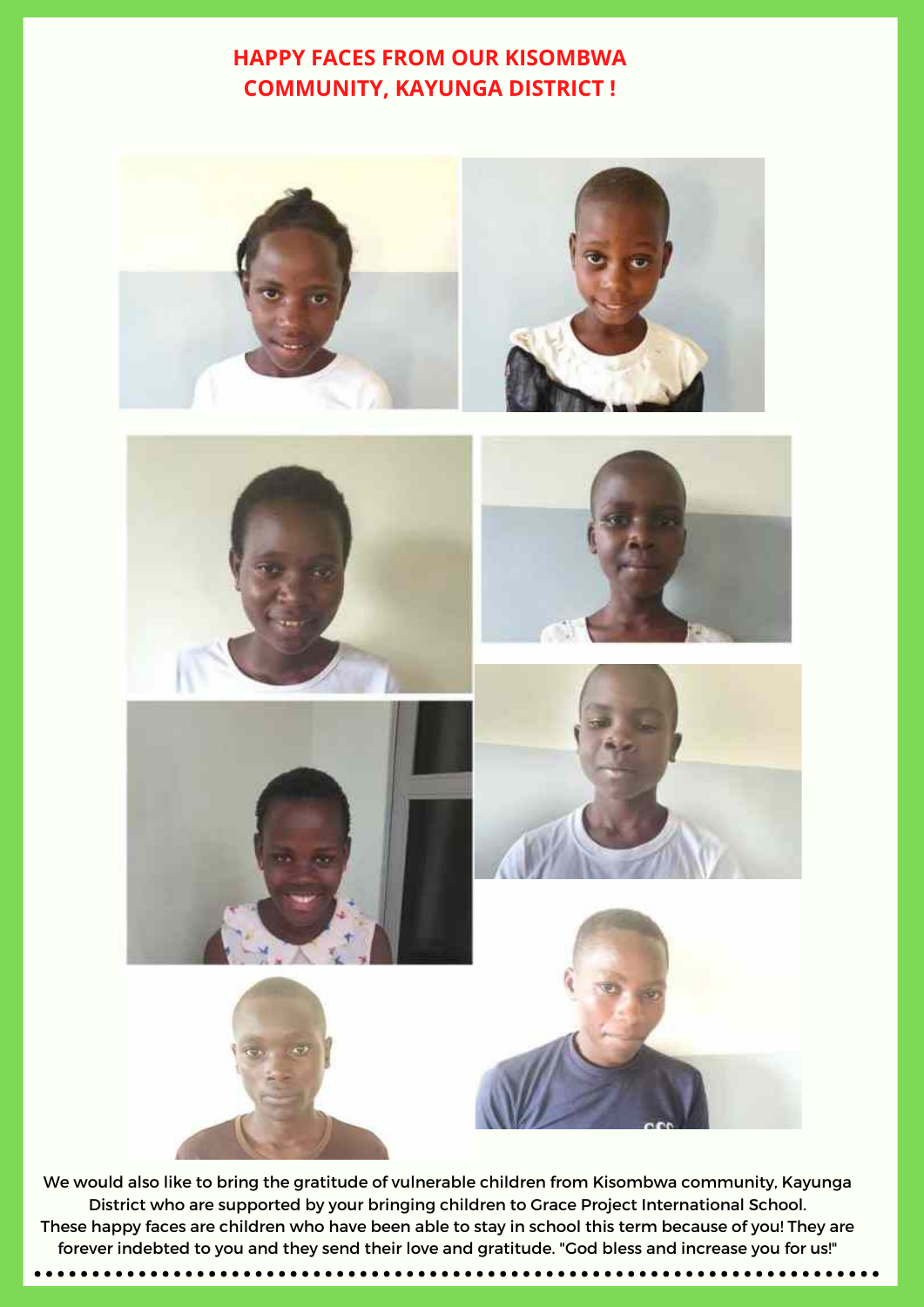#### **HAPPY FACES FROM OUR KISOMBWA COMMUNITY, KAYUNGA DISTRICT !**



We would also like to bring the gratitude of vulnerable children from Kisombwa community, Kayunga District who are supported by your bringing children to Grace Project International School. These happy faces are children who have been able to stay in school this term because of you! They are forever indebted to you and they send their love and gratitude. "God bless and increase you for us!"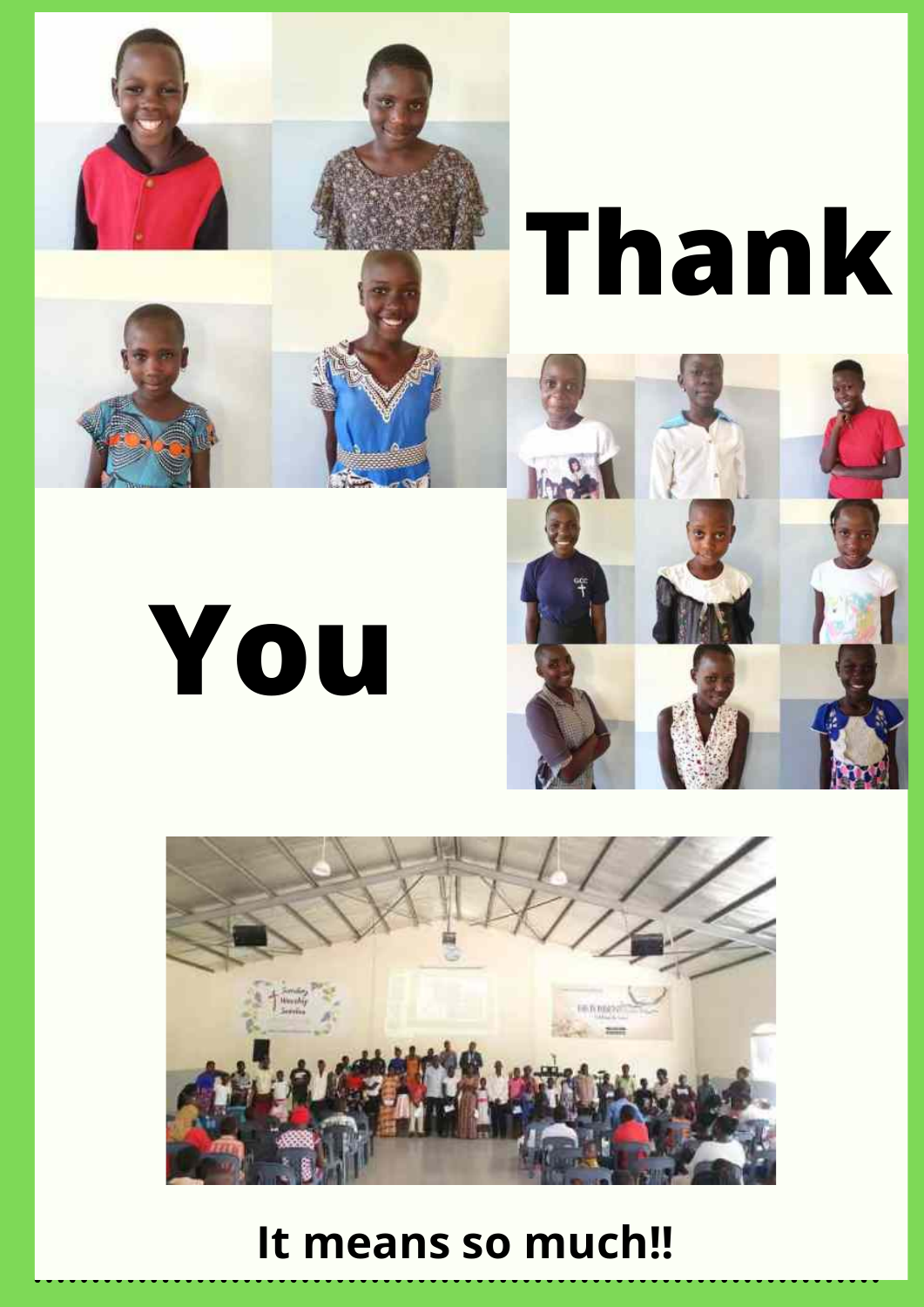

# **Thank**







## **It means so much!!**